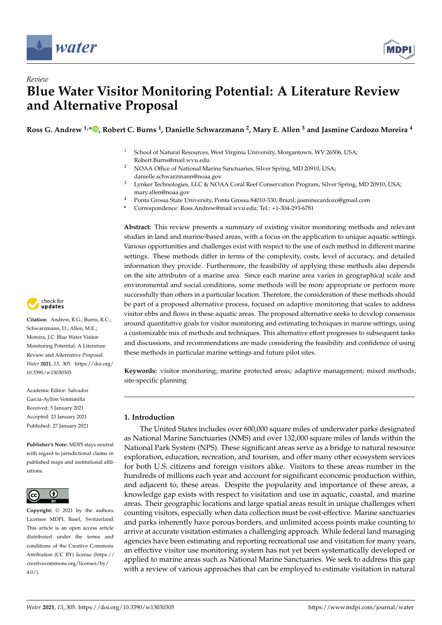

*Review*



# **Blue Water Visitor Monitoring Potential: A Literature Review and Alternative Proposal**

**Ross G. Andrew 1,[\\*](https://orcid.org/0000-0002-4678-0415) , Robert C. Burns <sup>1</sup> , Danielle Schwarzmann <sup>2</sup> , Mary E. Allen <sup>3</sup> and Jasmine Cardozo Moreira <sup>4</sup>**

- <sup>1</sup> School of Natural Resources, West Virginia University, Morgantown, WV 26506, USA; Robert.Burns@mail.wvu.edu
- <sup>2</sup> NOAA Office of National Marine Sanctuaries, Silver Spring, MD 20910, USA; danielle.schwarzmann@noaa.gov
- <sup>3</sup> Lynker Technologies, LLC & NOAA Coral Reef Conservation Program, Silver Spring, MD 20910, USA; mary.allen@noaa.gov
- <sup>4</sup> Ponta Grossa State University, Ponta Grossa 84010-330, Brazil; jasminecardozo@gmail.com
- **\*** Correspondence: Ross.Andrew@mail.wvu.edu; Tel.: +1-304-293-6781

**Abstract:** This review presents a summary of existing visitor monitoring methods and relevant studies in land and marine-based areas, with a focus on the application to unique aquatic settings. Various opportunities and challenges exist with respect to the use of each method in different marine settings. These methods differ in terms of the complexity, costs, level of accuracy, and detailed information they provide. Furthermore, the feasibility of applying these methods also depends on the site attributes of a marine area. Since each marine area varies in geographical scale and environmental and social conditions, some methods will be more appropriate or perform more successfully than others in a particular location. Therefore, the consideration of these methods should be part of a proposed alternative process, focused on adaptive monitoring that scales to address visitor ebbs and flows in these aquatic areas. The proposed alternative seeks to develop consensus around quantitative goals for visitor monitoring and estimating techniques in marine settings, using a customizable mix of methods and techniques. This alternative effort progresses to subsequent tasks and discussions, and recommendations are made considering the feasibility and confidence of using these methods in particular marine settings and future pilot sites.

**Keywords:** visitor monitoring; marine protected areas; adaptive management; mixed methods; site-specific planning

# **1. Introduction**

The United States includes over 600,000 square miles of underwater parks designated as National Marine Sanctuaries (NMS) and over 132,000 square miles of lands within the National Park System (NPS). These significant areas serve as a bridge to natural resource exploration, education, recreation, and tourism, and offer many other ecosystem services for both U.S. citizens and foreign visitors alike. Visitors to these areas number in the hundreds of millions each year and account for significant economic production within, and adjacent to, these areas. Despite the popularity and importance of these areas, a knowledge gap exists with respect to visitation and use in aquatic, coastal, and marine areas. Their geographic locations and large spatial areas result in unique challenges when counting visitors, especially when data collection must be cost-effective. Marine sanctuaries and parks inherently have porous borders, and unlimited access points make counting to arrive at accurate visitation estimates a challenging approach. While federal land managing agencies have been estimating and reporting recreational use and visitation for many years, an effective visitor use monitoring system has not yet been systematically developed or applied to marine areas such as National Marine Sanctuaries. We seek to address this gap with a review of various approaches that can be employed to estimate visitation in natural



**Citation:** Andrew, R.G.; Burns, R.C.; Schwarzmann, D.; Allen, M.E.; Moreira, J.C. Blue Water Visitor Monitoring Potential: A Literature Review and Alternative Proposal. *Water* **2021**, *13*, 305. [https://doi.org/](https://doi.org/10.3390/w13030305) [10.3390/w13030305](https://doi.org/10.3390/w13030305)

Academic Editor: Salvador García-Ayllón Veintimilla Received: 5 January 2021 Accepted: 23 January 2021 Published: 27 January 2021

**Publisher's Note:** MDPI stays neutral with regard to jurisdictional claims in published maps and institutional affiliations.



**Copyright:** © 2021 by the authors. Licensee MDPI, Basel, Switzerland. This article is an open access article distributed under the terms and conditions of the Creative Commons Attribution (CC BY) license (https:/[/](https://creativecommons.org/licenses/by/4.0/) [creativecommons.org/licenses/by/](https://creativecommons.org/licenses/by/4.0/)  $4.0/$ ).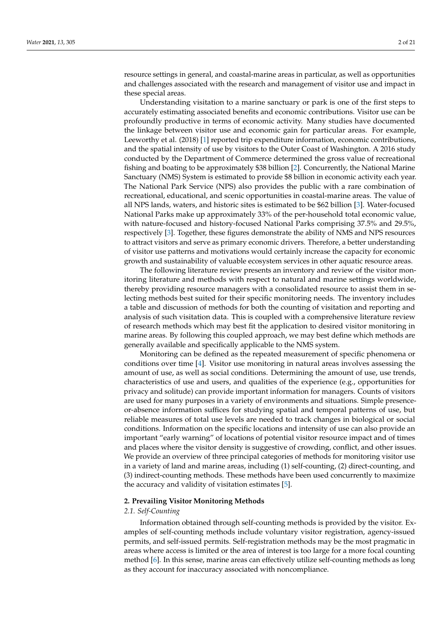resource settings in general, and coastal-marine areas in particular, as well as opportunities and challenges associated with the research and management of visitor use and impact in these special areas.

Understanding visitation to a marine sanctuary or park is one of the first steps to accurately estimating associated benefits and economic contributions. Visitor use can be profoundly productive in terms of economic activity. Many studies have documented the linkage between visitor use and economic gain for particular areas. For example, Leeworthy et al. (2018) [\[1\]](#page-16-0) reported trip expenditure information, economic contributions, and the spatial intensity of use by visitors to the Outer Coast of Washington. A 2016 study conducted by the Department of Commerce determined the gross value of recreational fishing and boating to be approximately \$38 billion [\[2\]](#page-16-1). Concurrently, the National Marine Sanctuary (NMS) System is estimated to provide \$8 billion in economic activity each year. The National Park Service (NPS) also provides the public with a rare combination of recreational, educational, and scenic opportunities in coastal-marine areas. The value of all NPS lands, waters, and historic sites is estimated to be \$62 billion [\[3\]](#page-16-2). Water-focused National Parks make up approximately 33% of the per-household total economic value, with nature-focused and history-focused National Parks comprising 37.5% and 29.5%, respectively [\[3\]](#page-16-2). Together, these figures demonstrate the ability of NMS and NPS resources to attract visitors and serve as primary economic drivers. Therefore, a better understanding of visitor use patterns and motivations would certainly increase the capacity for economic growth and sustainability of valuable ecosystem services in other aquatic resource areas.

The following literature review presents an inventory and review of the visitor monitoring literature and methods with respect to natural and marine settings worldwide, thereby providing resource managers with a consolidated resource to assist them in selecting methods best suited for their specific monitoring needs. The inventory includes a table and discussion of methods for both the counting of visitation and reporting and analysis of such visitation data. This is coupled with a comprehensive literature review of research methods which may best fit the application to desired visitor monitoring in marine areas. By following this coupled approach, we may best define which methods are generally available and specifically applicable to the NMS system.

Monitoring can be defined as the repeated measurement of specific phenomena or conditions over time [\[4\]](#page-16-3). Visitor use monitoring in natural areas involves assessing the amount of use, as well as social conditions. Determining the amount of use, use trends, characteristics of use and users, and qualities of the experience (e.g., opportunities for privacy and solitude) can provide important information for managers. Counts of visitors are used for many purposes in a variety of environments and situations. Simple presenceor-absence information suffices for studying spatial and temporal patterns of use, but reliable measures of total use levels are needed to track changes in biological or social conditions. Information on the specific locations and intensity of use can also provide an important "early warning" of locations of potential visitor resource impact and of times and places where the visitor density is suggestive of crowding, conflict, and other issues. We provide an overview of three principal categories of methods for monitoring visitor use in a variety of land and marine areas, including (1) self-counting, (2) direct-counting, and (3) indirect-counting methods. These methods have been used concurrently to maximize the accuracy and validity of visitation estimates [\[5\]](#page-16-4).

## **2. Prevailing Visitor Monitoring Methods**

# *2.1. Self-Counting*

Information obtained through self-counting methods is provided by the visitor. Examples of self-counting methods include voluntary visitor registration, agency-issued permits, and self-issued permits. Self-registration methods may be the most pragmatic in areas where access is limited or the area of interest is too large for a more focal counting method [\[6\]](#page-16-5). In this sense, marine areas can effectively utilize self-counting methods as long as they account for inaccuracy associated with noncompliance.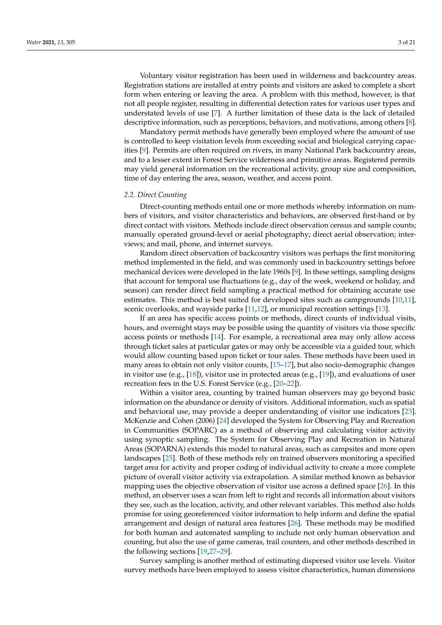Voluntary visitor registration has been used in wilderness and backcountry areas. Registration stations are installed at entry points and visitors are asked to complete a short form when entering or leaving the area. A problem with this method, however, is that not all people register, resulting in differential detection rates for various user types and understated levels of use [\[7\]](#page-16-6). A further limitation of these data is the lack of detailed descriptive information, such as perceptions, behaviors, and motivations, among others [\[8\]](#page-17-0).

Mandatory permit methods have generally been employed where the amount of use is controlled to keep visitation levels from exceeding social and biological carrying capacities [\[9\]](#page-17-1). Permits are often required on rivers, in many National Park backcountry areas, and to a lesser extent in Forest Service wilderness and primitive areas. Registered permits may yield general information on the recreational activity, group size and composition, time of day entering the area, season, weather, and access point.

# *2.2. Direct Counting*

Direct-counting methods entail one or more methods whereby information on numbers of visitors, and visitor characteristics and behaviors, are observed first-hand or by direct contact with visitors. Methods include direct observation census and sample counts; manually operated ground-level or aerial photography; direct aerial observation; interviews; and mail, phone, and internet surveys.

Random direct observation of backcountry visitors was perhaps the first monitoring method implemented in the field, and was commonly used in backcountry settings before mechanical devices were developed in the late 1960s [\[9\]](#page-17-1). In these settings, sampling designs that account for temporal use fluctuations (e.g., day of the week, weekend or holiday, and season) can render direct field sampling a practical method for obtaining accurate use estimates. This method is best suited for developed sites such as campgrounds [\[10,](#page-17-2)[11\]](#page-17-3), scenic overlooks, and wayside parks [\[11,](#page-17-3)[12\]](#page-17-4), or municipal recreation settings [\[13\]](#page-17-5).

If an area has specific access points or methods, direct counts of individual visits, hours, and overnight stays may be possible using the quantity of visitors via those specific access points or methods [\[14\]](#page-17-6). For example, a recreational area may only allow access through ticket sales at particular gates or may only be accessible via a guided tour, which would allow counting based upon ticket or tour sales. These methods have been used in many areas to obtain not only visitor counts, [\[15–](#page-17-7)[17\]](#page-17-8), but also socio-demographic changes in visitor use (e.g., [\[18\]](#page-17-9)), visitor use in protected areas (e.g., [\[19\]](#page-17-10)), and evaluations of user recreation fees in the U.S. Forest Service (e.g., [\[20–](#page-17-11)[22\]](#page-17-12)).

Within a visitor area, counting by trained human observers may go beyond basic information on the abundance or density of visitors. Additional information, such as spatial and behavioral use, may provide a deeper understanding of visitor use indicators [\[23\]](#page-17-13). McKenzie and Cohen (2006) [\[24\]](#page-17-14) developed the System for Observing Play and Recreation in Communities (SOPARC) as a method of observing and calculating visitor activity using synoptic sampling. The System for Observing Play and Recreation in Natural Areas (SOPARNA) extends this model to natural areas, such as campsites and more open landscapes [\[25\]](#page-17-15). Both of these methods rely on trained observers monitoring a specified target area for activity and proper coding of individual activity to create a more complete picture of overall visitor activity via extrapolation. A similar method known as behavior mapping uses the objective observation of visitor use across a defined space [\[26\]](#page-17-16). In this method, an observer uses a scan from left to right and records all information about visitors they see, such as the location, activity, and other relevant variables. This method also holds promise for using georeferenced visitor information to help inform and define the spatial arrangement and design of natural area features [\[26\]](#page-17-16). These methods may be modified for both human and automated sampling to include not only human observation and counting, but also the use of game cameras, trail counters, and other methods described in the following sections [\[19](#page-17-10)[,27–](#page-17-17)[29\]](#page-17-18).

Survey sampling is another method of estimating dispersed visitor use levels. Visitor survey methods have been employed to assess visitor characteristics, human dimensions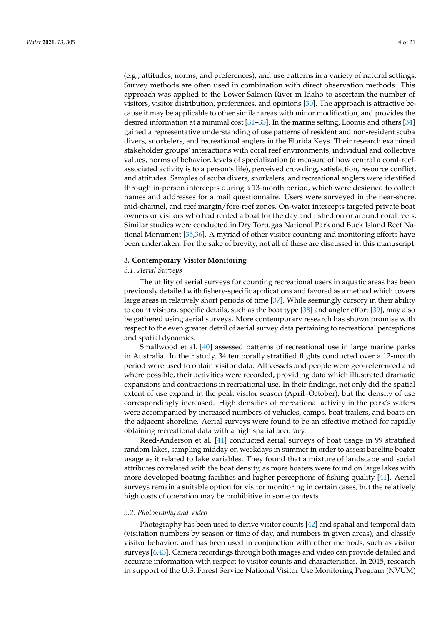(e.g., attitudes, norms, and preferences), and use patterns in a variety of natural settings. Survey methods are often used in combination with direct observation methods. This approach was applied to the Lower Salmon River in Idaho to ascertain the number of visitors, visitor distribution, preferences, and opinions [\[30\]](#page-17-19). The approach is attractive because it may be applicable to other similar areas with minor modification, and provides the desired information at a minimal cost [\[31](#page-17-20)[–33\]](#page-17-21). In the marine setting, Loomis and others [\[34\]](#page-17-22) gained a representative understanding of use patterns of resident and non-resident scuba divers, snorkelers, and recreational anglers in the Florida Keys. Their research examined stakeholder groups' interactions with coral reef environments, individual and collective values, norms of behavior, levels of specialization (a measure of how central a coral-reefassociated activity is to a person's life), perceived crowding, satisfaction, resource conflict, and attitudes. Samples of scuba divers, snorkelers, and recreational anglers were identified through in-person intercepts during a 13-month period, which were designed to collect names and addresses for a mail questionnaire. Users were surveyed in the near-shore, mid-channel, and reef margin/fore-reef zones. On-water intercepts targeted private boat owners or visitors who had rented a boat for the day and fished on or around coral reefs. Similar studies were conducted in Dry Tortugas National Park and Buck Island Reef National Monument [\[35,](#page-18-0)[36\]](#page-18-1). A myriad of other visitor counting and monitoring efforts have been undertaken. For the sake of brevity, not all of these are discussed in this manuscript.

# **3. Contemporary Visitor Monitoring**

# *3.1. Aerial Surveys*

The utility of aerial surveys for counting recreational users in aquatic areas has been previously detailed with fishery-specific applications and favored as a method which covers large areas in relatively short periods of time [\[37\]](#page-18-2). While seemingly cursory in their ability to count visitors, specific details, such as the boat type [\[38\]](#page-18-3) and angler effort [\[39\]](#page-18-4), may also be gathered using aerial surveys. More contemporary research has shown promise with respect to the even greater detail of aerial survey data pertaining to recreational perceptions and spatial dynamics.

Smallwood et al. [\[40\]](#page-18-5) assessed patterns of recreational use in large marine parks in Australia. In their study, 34 temporally stratified flights conducted over a 12-month period were used to obtain visitor data. All vessels and people were geo-referenced and where possible, their activities were recorded, providing data which illustrated dramatic expansions and contractions in recreational use. In their findings, not only did the spatial extent of use expand in the peak visitor season (April–October), but the density of use correspondingly increased. High densities of recreational activity in the park's waters were accompanied by increased numbers of vehicles, camps, boat trailers, and boats on the adjacent shoreline. Aerial surveys were found to be an effective method for rapidly obtaining recreational data with a high spatial accuracy.

Reed-Anderson et al. [\[41\]](#page-18-6) conducted aerial surveys of boat usage in 99 stratified random lakes, sampling midday on weekdays in summer in order to assess baseline boater usage as it related to lake variables. They found that a mixture of landscape and social attributes correlated with the boat density, as more boaters were found on large lakes with more developed boating facilities and higher perceptions of fishing quality [\[41\]](#page-18-6). Aerial surveys remain a suitable option for visitor monitoring in certain cases, but the relatively high costs of operation may be prohibitive in some contexts.

## *3.2. Photography and Video*

Photography has been used to derive visitor counts [\[42\]](#page-18-7) and spatial and temporal data (visitation numbers by season or time of day, and numbers in given areas), and classify visitor behavior, and has been used in conjunction with other methods, such as visitor surveys [\[6,](#page-16-5)[43\]](#page-18-8). Camera recordings through both images and video can provide detailed and accurate information with respect to visitor counts and characteristics. In 2015, research in support of the U.S. Forest Service National Visitor Use Monitoring Program (NVUM)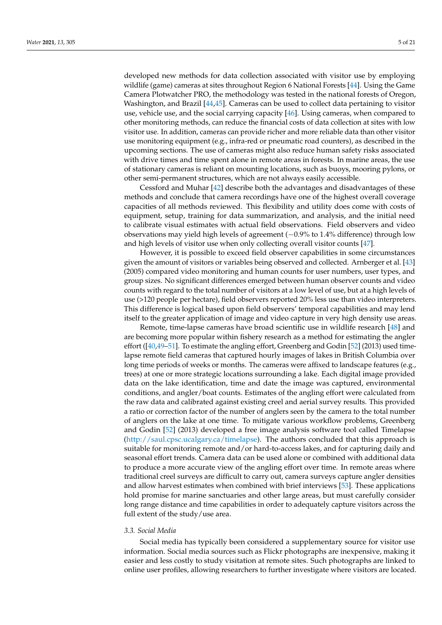developed new methods for data collection associated with visitor use by employing wildlife (game) cameras at sites throughout Region 6 National Forests [\[44\]](#page-18-9). Using the Game Camera Plotwatcher PRO, the methodology was tested in the national forests of Oregon, Washington, and Brazil [\[44](#page-18-9)[,45\]](#page-18-10). Cameras can be used to collect data pertaining to visitor use, vehicle use, and the social carrying capacity [\[46\]](#page-18-11). Using cameras, when compared to other monitoring methods, can reduce the financial costs of data collection at sites with low visitor use. In addition, cameras can provide richer and more reliable data than other visitor use monitoring equipment (e.g., infra-red or pneumatic road counters), as described in the upcoming sections. The use of cameras might also reduce human safety risks associated with drive times and time spent alone in remote areas in forests. In marine areas, the use of stationary cameras is reliant on mounting locations, such as buoys, mooring pylons, or other semi-permanent structures, which are not always easily accessible.

Cessford and Muhar [\[42\]](#page-18-7) describe both the advantages and disadvantages of these methods and conclude that camera recordings have one of the highest overall coverage capacities of all methods reviewed. This flexibility and utility does come with costs of equipment, setup, training for data summarization, and analysis, and the initial need to calibrate visual estimates with actual field observations. Field observers and video observations may yield high levels of agreement (−0.9% to 1.4% difference) through low and high levels of visitor use when only collecting overall visitor counts [\[47\]](#page-18-12).

However, it is possible to exceed field observer capabilities in some circumstances given the amount of visitors or variables being observed and collected. Arnberger et al. [\[43\]](#page-18-8) (2005) compared video monitoring and human counts for user numbers, user types, and group sizes. No significant differences emerged between human observer counts and video counts with regard to the total number of visitors at a low level of use, but at a high levels of use (>120 people per hectare), field observers reported 20% less use than video interpreters. This difference is logical based upon field observers' temporal capabilities and may lend itself to the greater application of image and video capture in very high density use areas.

Remote, time-lapse cameras have broad scientific use in wildlife research [\[48\]](#page-18-13) and are becoming more popular within fishery research as a method for estimating the angler effort ([\[40,](#page-18-5)[49–](#page-18-14)[51\]](#page-18-15). To estimate the angling effort, Greenberg and Godin [\[52\]](#page-18-16) (2013) used timelapse remote field cameras that captured hourly images of lakes in British Columbia over long time periods of weeks or months. The cameras were affixed to landscape features (e.g., trees) at one or more strategic locations surrounding a lake. Each digital image provided data on the lake identification, time and date the image was captured, environmental conditions, and angler/boat counts. Estimates of the angling effort were calculated from the raw data and calibrated against existing creel and aerial survey results. This provided a ratio or correction factor of the number of anglers seen by the camera to the total number of anglers on the lake at one time. To mitigate various workflow problems, Greenberg and Godin [\[52\]](#page-18-16) (2013) developed a free image analysis software tool called Timelapse [\(http://saul.cpsc.ucalgary.ca/timelapse\)](http://saul.cpsc.ucalgary.ca/timelapse). The authors concluded that this approach is suitable for monitoring remote and/or hard-to-access lakes, and for capturing daily and seasonal effort trends. Camera data can be used alone or combined with additional data to produce a more accurate view of the angling effort over time. In remote areas where traditional creel surveys are difficult to carry out, camera surveys capture angler densities and allow harvest estimates when combined with brief interviews [\[53\]](#page-18-17). These applications hold promise for marine sanctuaries and other large areas, but must carefully consider long range distance and time capabilities in order to adequately capture visitors across the full extent of the study/use area.

# *3.3. Social Media*

Social media has typically been considered a supplementary source for visitor use information. Social media sources such as Flickr photographs are inexpensive, making it easier and less costly to study visitation at remote sites. Such photographs are linked to online user profiles, allowing researchers to further investigate where visitors are located.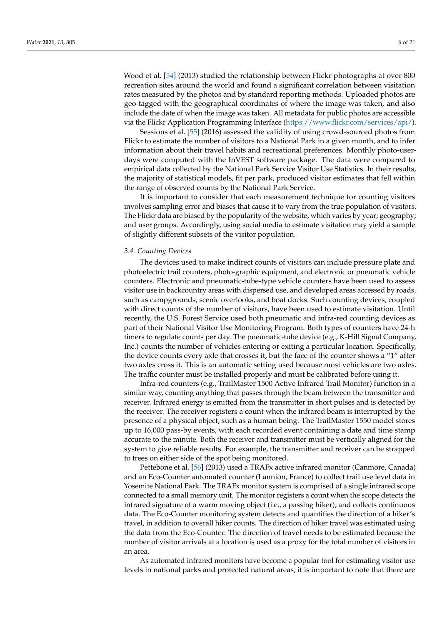Wood et al. [\[54\]](#page-18-18) (2013) studied the relationship between Flickr photographs at over 800 recreation sites around the world and found a significant correlation between visitation rates measured by the photos and by standard reporting methods. Uploaded photos are geo-tagged with the geographical coordinates of where the image was taken, and also include the date of when the image was taken. All metadata for public photos are accessible via the Flickr Application Programming Interface [\(https://www.flickr.com/services/api/\)](https://www.flickr.com/services/api/).

Sessions et al. [\[55\]](#page-18-19) (2016) assessed the validity of using crowd-sourced photos from Flickr to estimate the number of visitors to a National Park in a given month, and to infer information about their travel habits and recreational preferences. Monthly photo-userdays were computed with the InVEST software package. The data were compared to empirical data collected by the National Park Service Visitor Use Statistics. In their results, the majority of statistical models, fit per park, produced visitor estimates that fell within the range of observed counts by the National Park Service.

It is important to consider that each measurement technique for counting visitors involves sampling error and biases that cause it to vary from the true population of visitors. The Flickr data are biased by the popularity of the website, which varies by year; geography; and user groups. Accordingly, using social media to estimate visitation may yield a sample of slightly different subsets of the visitor population.

#### *3.4. Counting Devices*

The devices used to make indirect counts of visitors can include pressure plate and photoelectric trail counters, photo-graphic equipment, and electronic or pneumatic vehicle counters. Electronic and pneumatic-tube-type vehicle counters have been used to assess visitor use in backcountry areas with dispersed use, and developed areas accessed by roads, such as campgrounds, scenic overlooks, and boat docks. Such counting devices, coupled with direct counts of the number of visitors, have been used to estimate visitation. Until recently, the U.S. Forest Service used both pneumatic and infra-red counting devices as part of their National Visitor Use Monitoring Program. Both types of counters have 24-h timers to regulate counts per day. The pneumatic-tube device (e.g., K-Hill Signal Company, Inc.) counts the number of vehicles entering or exiting a particular location. Specifically, the device counts every axle that crosses it, but the face of the counter shows a "1" after two axles cross it. This is an automatic setting used because most vehicles are two axles. The traffic counter must be installed properly and must be calibrated before using it.

Infra-red counters (e.g., TrailMaster 1500 Active Infrared Trail Monitor) function in a similar way, counting anything that passes through the beam between the transmitter and receiver. Infrared energy is emitted from the transmitter in short pulses and is detected by the receiver. The receiver registers a count when the infrared beam is interrupted by the presence of a physical object, such as a human being. The TrailMaster 1550 model stores up to 16,000 pass-by events, with each recorded event containing a date and time stamp accurate to the minute. Both the receiver and transmitter must be vertically aligned for the system to give reliable results. For example, the transmitter and receiver can be strapped to trees on either side of the spot being monitored.

Pettebone et al. [\[56\]](#page-18-20) (2013) used a TRAFx active infrared monitor (Canmore, Canada) and an Eco-Counter automated counter (Lannion, France) to collect trail use level data in Yosemite National Park. The TRAFx monitor system is comprised of a single infrared scope connected to a small memory unit. The monitor registers a count when the scope detects the infrared signature of a warm moving object (i.e., a passing hiker), and collects continuous data. The Eco-Counter monitoring system detects and quantifies the direction of a hiker's travel, in addition to overall hiker counts. The direction of hiker travel was estimated using the data from the Eco-Counter. The direction of travel needs to be estimated because the number of visitor arrivals at a location is used as a proxy for the total number of visitors in an area.

As automated infrared monitors have become a popular tool for estimating visitor use levels in national parks and protected natural areas, it is important to note that there are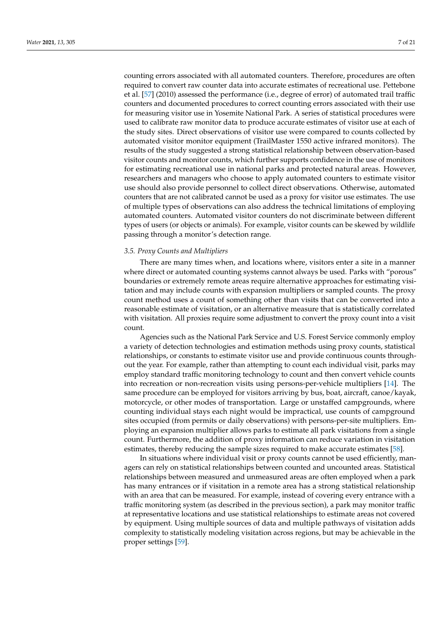counting errors associated with all automated counters. Therefore, procedures are often required to convert raw counter data into accurate estimates of recreational use. Pettebone et al. [\[57\]](#page-18-21) (2010) assessed the performance (i.e., degree of error) of automated trail traffic counters and documented procedures to correct counting errors associated with their use for measuring visitor use in Yosemite National Park. A series of statistical procedures were used to calibrate raw monitor data to produce accurate estimates of visitor use at each of the study sites. Direct observations of visitor use were compared to counts collected by automated visitor monitor equipment (TrailMaster 1550 active infrared monitors). The results of the study suggested a strong statistical relationship between observation-based visitor counts and monitor counts, which further supports confidence in the use of monitors for estimating recreational use in national parks and protected natural areas. However, researchers and managers who choose to apply automated counters to estimate visitor use should also provide personnel to collect direct observations. Otherwise, automated counters that are not calibrated cannot be used as a proxy for visitor use estimates. The use of multiple types of observations can also address the technical limitations of employing automated counters. Automated visitor counters do not discriminate between different types of users (or objects or animals). For example, visitor counts can be skewed by wildlife passing through a monitor's detection range.

## *3.5. Proxy Counts and Multipliers*

There are many times when, and locations where, visitors enter a site in a manner where direct or automated counting systems cannot always be used. Parks with "porous" boundaries or extremely remote areas require alternative approaches for estimating visitation and may include counts with expansion multipliers or sampled counts. The proxy count method uses a count of something other than visits that can be converted into a reasonable estimate of visitation, or an alternative measure that is statistically correlated with visitation. All proxies require some adjustment to convert the proxy count into a visit count.

Agencies such as the National Park Service and U.S. Forest Service commonly employ a variety of detection technologies and estimation methods using proxy counts, statistical relationships, or constants to estimate visitor use and provide continuous counts throughout the year. For example, rather than attempting to count each individual visit, parks may employ standard traffic monitoring technology to count and then convert vehicle counts into recreation or non-recreation visits using persons-per-vehicle multipliers [\[14\]](#page-17-6). The same procedure can be employed for visitors arriving by bus, boat, aircraft, canoe/kayak, motorcycle, or other modes of transportation. Large or unstaffed campgrounds, where counting individual stays each night would be impractical, use counts of campground sites occupied (from permits or daily observations) with persons-per-site multipliers. Employing an expansion multiplier allows parks to estimate all park visitations from a single count. Furthermore, the addition of proxy information can reduce variation in visitation estimates, thereby reducing the sample sizes required to make accurate estimates [\[58\]](#page-18-22).

In situations where individual visit or proxy counts cannot be used efficiently, managers can rely on statistical relationships between counted and uncounted areas. Statistical relationships between measured and unmeasured areas are often employed when a park has many entrances or if visitation in a remote area has a strong statistical relationship with an area that can be measured. For example, instead of covering every entrance with a traffic monitoring system (as described in the previous section), a park may monitor traffic at representative locations and use statistical relationships to estimate areas not covered by equipment. Using multiple sources of data and multiple pathways of visitation adds complexity to statistically modeling visitation across regions, but may be achievable in the proper settings [\[59\]](#page-18-23).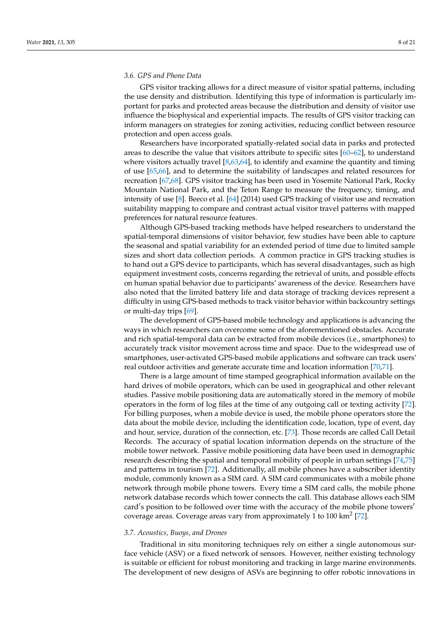# *3.6. GPS and Phone Data*

GPS visitor tracking allows for a direct measure of visitor spatial patterns, including the use density and distribution. Identifying this type of information is particularly important for parks and protected areas because the distribution and density of visitor use influence the biophysical and experiential impacts. The results of GPS visitor tracking can inform managers on strategies for zoning activities, reducing conflict between resource protection and open access goals.

Researchers have incorporated spatially-related social data in parks and protected areas to describe the value that visitors attribute to specific sites [\[60–](#page-18-24)[62\]](#page-18-25), to understand where visitors actually travel  $[8,63,64]$  $[8,63,64]$  $[8,63,64]$ , to identify and examine the quantity and timing of use [\[65](#page-19-2)[,66\]](#page-19-3), and to determine the suitability of landscapes and related resources for recreation [\[67](#page-19-4)[,68\]](#page-19-5). GPS visitor tracking has been used in Yosemite National Park, Rocky Mountain National Park, and the Teton Range to measure the frequency, timing, and intensity of use [\[8\]](#page-17-0). Beeco et al. [\[64\]](#page-19-1) (2014) used GPS tracking of visitor use and recreation suitability mapping to compare and contrast actual visitor travel patterns with mapped preferences for natural resource features.

Although GPS-based tracking methods have helped researchers to understand the spatial-temporal dimensions of visitor behavior, few studies have been able to capture the seasonal and spatial variability for an extended period of time due to limited sample sizes and short data collection periods. A common practice in GPS tracking studies is to hand out a GPS device to participants, which has several disadvantages, such as high equipment investment costs, concerns regarding the retrieval of units, and possible effects on human spatial behavior due to participants' awareness of the device. Researchers have also noted that the limited battery life and data storage of tracking devices represent a difficulty in using GPS-based methods to track visitor behavior within backcountry settings or multi-day trips [\[69\]](#page-19-6).

The development of GPS-based mobile technology and applications is advancing the ways in which researchers can overcome some of the aforementioned obstacles. Accurate and rich spatial-temporal data can be extracted from mobile devices (i.e., smartphones) to accurately track visitor movement across time and space. Due to the widespread use of smartphones, user-activated GPS-based mobile applications and software can track users' real outdoor activities and generate accurate time and location information [\[70](#page-19-7)[,71\]](#page-19-8).

There is a large amount of time stamped geographical information available on the hard drives of mobile operators, which can be used in geographical and other relevant studies. Passive mobile positioning data are automatically stored in the memory of mobile operators in the form of log files at the time of any outgoing call or texting activity [\[72\]](#page-19-9). For billing purposes, when a mobile device is used, the mobile phone operators store the data about the mobile device, including the identification code, location, type of event, day and hour, service, duration of the connection, etc. [\[73\]](#page-19-10). Those records are called Call Detail Records. The accuracy of spatial location information depends on the structure of the mobile tower network. Passive mobile positioning data have been used in demographic research describing the spatial and temporal mobility of people in urban settings [\[74](#page-19-11)[,75\]](#page-19-12) and patterns in tourism [\[72\]](#page-19-9). Additionally, all mobile phones have a subscriber identity module, commonly known as a SIM card. A SIM card communicates with a mobile phone network through mobile phone towers. Every time a SIM card calls, the mobile phone network database records which tower connects the call. This database allows each SIM card's position to be followed over time with the accuracy of the mobile phone towers' coverage areas. Coverage areas vary from approximately 1 to 100 km<sup>2</sup> [\[72\]](#page-19-9).

## *3.7. Acoustics, Buoys, and Drones*

Traditional in situ monitoring techniques rely on either a single autonomous surface vehicle (ASV) or a fixed network of sensors. However, neither existing technology is suitable or efficient for robust monitoring and tracking in large marine environments. The development of new designs of ASVs are beginning to offer robotic innovations in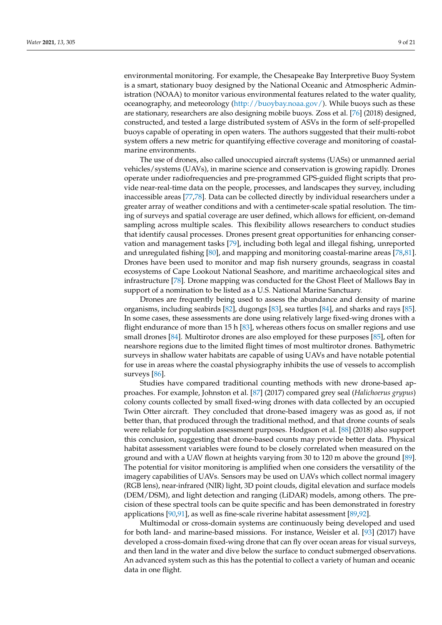environmental monitoring. For example, the Chesapeake Bay Interpretive Buoy System is a smart, stationary buoy designed by the National Oceanic and Atmospheric Administration (NOAA) to monitor various environmental features related to the water quality, oceanography, and meteorology [\(http://buoybay.noaa.gov/\)](http://buoybay.noaa.gov/). While buoys such as these are stationary, researchers are also designing mobile buoys. Zoss et al. [\[76\]](#page-19-13) (2018) designed, constructed, and tested a large distributed system of ASVs in the form of self-propelled buoys capable of operating in open waters. The authors suggested that their multi-robot system offers a new metric for quantifying effective coverage and monitoring of coastalmarine environments.

The use of drones, also called unoccupied aircraft systems (UASs) or unmanned aerial vehicles/systems (UAVs), in marine science and conservation is growing rapidly. Drones operate under radiofrequencies and pre-programmed GPS-guided flight scripts that provide near-real-time data on the people, processes, and landscapes they survey, including inaccessible areas [\[77,](#page-19-14)[78\]](#page-19-15). Data can be collected directly by individual researchers under a greater array of weather conditions and with a centimeter-scale spatial resolution. The timing of surveys and spatial coverage are user defined, which allows for efficient, on-demand sampling across multiple scales. This flexibility allows researchers to conduct studies that identify causal processes. Drones present great opportunities for enhancing conservation and management tasks [\[79\]](#page-19-16), including both legal and illegal fishing, unreported and unregulated fishing [\[80\]](#page-19-17), and mapping and monitoring coastal-marine areas [\[78,](#page-19-15)[81\]](#page-19-18). Drones have been used to monitor and map fish nursery grounds, seagrass in coastal ecosystems of Cape Lookout National Seashore, and maritime archaeological sites and infrastructure [\[78\]](#page-19-15). Drone mapping was conducted for the Ghost Fleet of Mallows Bay in support of a nomination to be listed as a U.S. National Marine Sanctuary.

Drones are frequently being used to assess the abundance and density of marine organisms, including seabirds [\[82\]](#page-19-19), dugongs [\[83\]](#page-19-20), sea turtles [\[84\]](#page-19-21), and sharks and rays [\[85\]](#page-19-22). In some cases, these assessments are done using relatively large fixed-wing drones with a flight endurance of more than 15 h [\[83\]](#page-19-20), whereas others focus on smaller regions and use small drones [\[84\]](#page-19-21). Multirotor drones are also employed for these purposes [\[85\]](#page-19-22), often for nearshore regions due to the limited flight times of most multirotor drones. Bathymetric surveys in shallow water habitats are capable of using UAVs and have notable potential for use in areas where the coastal physiography inhibits the use of vessels to accomplish surveys [\[86\]](#page-19-23).

Studies have compared traditional counting methods with new drone-based approaches. For example, Johnston et al. [\[87\]](#page-19-24) (2017) compared grey seal (*Halichoerus grypus*) colony counts collected by small fixed-wing drones with data collected by an occupied Twin Otter aircraft. They concluded that drone-based imagery was as good as, if not better than, that produced through the traditional method, and that drone counts of seals were reliable for population assessment purposes. Hodgson et al. [\[88\]](#page-19-25) (2018) also support this conclusion, suggesting that drone-based counts may provide better data. Physical habitat assessment variables were found to be closely correlated when measured on the ground and with a UAV flown at heights varying from 30 to 120 m above the ground [\[89\]](#page-19-26). The potential for visitor monitoring is amplified when one considers the versatility of the imagery capabilities of UAVs. Sensors may be used on UAVs which collect normal imagery (RGB lens), near-infrared (NIR) light, 3D point clouds, digital elevation and surface models (DEM/DSM), and light detection and ranging (LiDAR) models, among others. The precision of these spectral tools can be quite specific and has been demonstrated in forestry applications [\[90](#page-19-27)[,91\]](#page-20-0), as well as fine-scale riverine habitat assessment [\[89](#page-19-26)[,92\]](#page-20-1).

Multimodal or cross-domain systems are continuously being developed and used for both land- and marine-based missions. For instance, Weisler et al. [\[93\]](#page-20-2) (2017) have developed a cross-domain fixed-wing drone that can fly over ocean areas for visual surveys, and then land in the water and dive below the surface to conduct submerged observations. An advanced system such as this has the potential to collect a variety of human and oceanic data in one flight.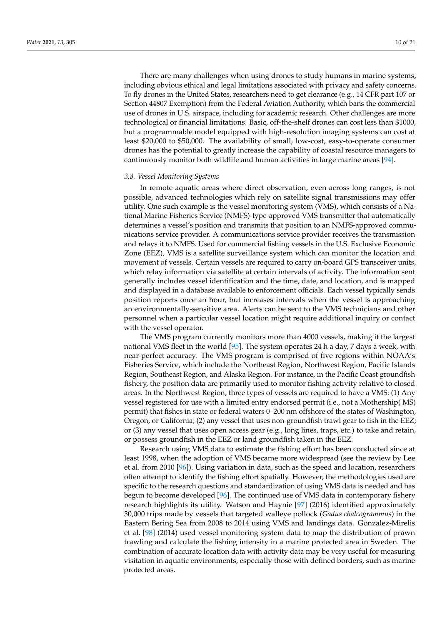There are many challenges when using drones to study humans in marine systems, including obvious ethical and legal limitations associated with privacy and safety concerns. To fly drones in the United States, researchers need to get clearance (e.g., 14 CFR part 107 or Section 44807 Exemption) from the Federal Aviation Authority, which bans the commercial use of drones in U.S. airspace, including for academic research. Other challenges are more technological or financial limitations. Basic, off-the-shelf drones can cost less than \$1000, but a programmable model equipped with high-resolution imaging systems can cost at least \$20,000 to \$50,000. The availability of small, low-cost, easy-to-operate consumer drones has the potential to greatly increase the capability of coastal resource managers to continuously monitor both wildlife and human activities in large marine areas [\[94\]](#page-20-3).

#### *3.8. Vessel Monitoring Systems*

In remote aquatic areas where direct observation, even across long ranges, is not possible, advanced technologies which rely on satellite signal transmissions may offer utility. One such example is the vessel monitoring system (VMS), which consists of a National Marine Fisheries Service (NMFS)-type-approved VMS transmitter that automatically determines a vessel's position and transmits that position to an NMFS-approved communications service provider. A communications service provider receives the transmission and relays it to NMFS. Used for commercial fishing vessels in the U.S. Exclusive Economic Zone (EEZ), VMS is a satellite surveillance system which can monitor the location and movement of vessels. Certain vessels are required to carry on-board GPS transceiver units, which relay information via satellite at certain intervals of activity. The information sent generally includes vessel identification and the time, date, and location, and is mapped and displayed in a database available to enforcement officials. Each vessel typically sends position reports once an hour, but increases intervals when the vessel is approaching an environmentally-sensitive area. Alerts can be sent to the VMS technicians and other personnel when a particular vessel location might require additional inquiry or contact with the vessel operator.

The VMS program currently monitors more than 4000 vessels, making it the largest national VMS fleet in the world [\[95\]](#page-20-4). The system operates 24 h a day, 7 days a week, with near-perfect accuracy. The VMS program is comprised of five regions within NOAA's Fisheries Service, which include the Northeast Region, Northwest Region, Pacific Islands Region, Southeast Region, and Alaska Region. For instance, in the Pacific Coast groundfish fishery, the position data are primarily used to monitor fishing activity relative to closed areas. In the Northwest Region, three types of vessels are required to have a VMS: (1) Any vessel registered for use with a limited entry endorsed permit (i.e., not a Mothership( MS) permit) that fishes in state or federal waters 0–200 nm offshore of the states of Washington, Oregon, or California; (2) any vessel that uses non-groundfish trawl gear to fish in the EEZ; or (3) any vessel that uses open access gear (e.g., long lines, traps, etc.) to take and retain, or possess groundfish in the EEZ or land groundfish taken in the EEZ.

Research using VMS data to estimate the fishing effort has been conducted since at least 1998, when the adoption of VMS became more widespread (see the review by Lee et al. from 2010 [\[96\]](#page-20-5)). Using variation in data, such as the speed and location, researchers often attempt to identify the fishing effort spatially. However, the methodologies used are specific to the research questions and standardization of using VMS data is needed and has begun to become developed [\[96\]](#page-20-5). The continued use of VMS data in contemporary fishery research highlights its utility. Watson and Haynie [\[97\]](#page-20-6) (2016) identified approximately 30,000 trips made by vessels that targeted walleye pollock (*Gadus chalcogrammus*) in the Eastern Bering Sea from 2008 to 2014 using VMS and landings data. Gonzalez-Mirelis et al. [\[98\]](#page-20-7) (2014) used vessel monitoring system data to map the distribution of prawn trawling and calculate the fishing intensity in a marine protected area in Sweden. The combination of accurate location data with activity data may be very useful for measuring visitation in aquatic environments, especially those with defined borders, such as marine protected areas.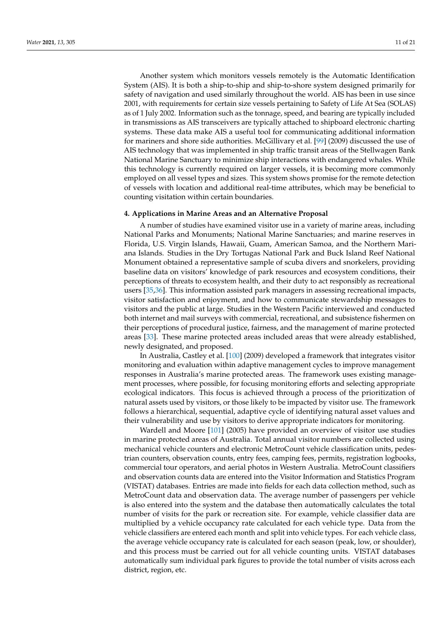Another system which monitors vessels remotely is the Automatic Identification System (AIS). It is both a ship-to-ship and ship-to-shore system designed primarily for safety of navigation and used similarly throughout the world. AIS has been in use since 2001, with requirements for certain size vessels pertaining to Safety of Life At Sea (SOLAS) as of 1 July 2002. Information such as the tonnage, speed, and bearing are typically included in transmissions as AIS transceivers are typically attached to shipboard electronic charting systems. These data make AIS a useful tool for communicating additional information for mariners and shore side authorities. McGillivary et al. [\[99\]](#page-20-8) (2009) discussed the use of AIS technology that was implemented in ship traffic transit areas of the Stellwagen Bank National Marine Sanctuary to minimize ship interactions with endangered whales. While this technology is currently required on larger vessels, it is becoming more commonly employed on all vessel types and sizes. This system shows promise for the remote detection of vessels with location and additional real-time attributes, which may be beneficial to counting visitation within certain boundaries.

## **4. Applications in Marine Areas and an Alternative Proposal**

A number of studies have examined visitor use in a variety of marine areas, including National Parks and Monuments; National Marine Sanctuaries; and marine reserves in Florida, U.S. Virgin Islands, Hawaii, Guam, American Samoa, and the Northern Mariana Islands. Studies in the Dry Tortugas National Park and Buck Island Reef National Monument obtained a representative sample of scuba divers and snorkelers, providing baseline data on visitors' knowledge of park resources and ecosystem conditions, their perceptions of threats to ecosystem health, and their duty to act responsibly as recreational users [\[35,](#page-18-0)[36\]](#page-18-1). This information assisted park managers in assessing recreational impacts, visitor satisfaction and enjoyment, and how to communicate stewardship messages to visitors and the public at large. Studies in the Western Pacific interviewed and conducted both internet and mail surveys with commercial, recreational, and subsistence fishermen on their perceptions of procedural justice, fairness, and the management of marine protected areas [\[33\]](#page-17-21). These marine protected areas included areas that were already established, newly designated, and proposed.

In Australia, Castley et al. [\[100\]](#page-20-9) (2009) developed a framework that integrates visitor monitoring and evaluation within adaptive management cycles to improve management responses in Australia's marine protected areas. The framework uses existing management processes, where possible, for focusing monitoring efforts and selecting appropriate ecological indicators. This focus is achieved through a process of the prioritization of natural assets used by visitors, or those likely to be impacted by visitor use. The framework follows a hierarchical, sequential, adaptive cycle of identifying natural asset values and their vulnerability and use by visitors to derive appropriate indicators for monitoring.

Wardell and Moore [\[101\]](#page-20-10) (2005) have provided an overview of visitor use studies in marine protected areas of Australia. Total annual visitor numbers are collected using mechanical vehicle counters and electronic MetroCount vehicle classification units, pedestrian counters, observation counts, entry fees, camping fees, permits, registration logbooks, commercial tour operators, and aerial photos in Western Australia. MetroCount classifiers and observation counts data are entered into the Visitor Information and Statistics Program (VISTAT) databases. Entries are made into fields for each data collection method, such as MetroCount data and observation data. The average number of passengers per vehicle is also entered into the system and the database then automatically calculates the total number of visits for the park or recreation site. For example, vehicle classifier data are multiplied by a vehicle occupancy rate calculated for each vehicle type. Data from the vehicle classifiers are entered each month and split into vehicle types. For each vehicle class, the average vehicle occupancy rate is calculated for each season (peak, low, or shoulder), and this process must be carried out for all vehicle counting units. VISTAT databases automatically sum individual park figures to provide the total number of visits across each district, region, etc.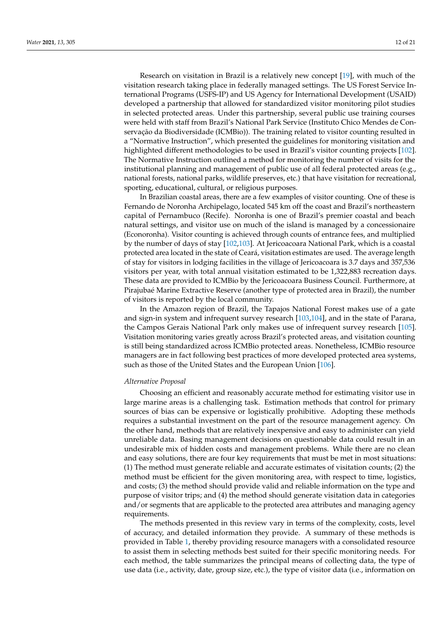Research on visitation in Brazil is a relatively new concept [\[19\]](#page-17-10), with much of the visitation research taking place in federally managed settings. The US Forest Service International Programs (USFS-IP) and US Agency for International Development (USAID) developed a partnership that allowed for standardized visitor monitoring pilot studies in selected protected areas. Under this partnership, several public use training courses were held with staff from Brazil's National Park Service (Instituto Chico Mendes de Conservação da Biodiversidade (ICMBio)). The training related to visitor counting resulted in a "Normative Instruction", which presented the guidelines for monitoring visitation and highlighted different methodologies to be used in Brazil's visitor counting projects [\[102\]](#page-20-11). The Normative Instruction outlined a method for monitoring the number of visits for the institutional planning and management of public use of all federal protected areas (e.g., national forests, national parks, wildlife preserves, etc.) that have visitation for recreational, sporting, educational, cultural, or religious purposes.

In Brazilian coastal areas, there are a few examples of visitor counting. One of these is Fernando de Noronha Archipelago, located 545 km off the coast and Brazil's northeastern capital of Pernambuco (Recife). Noronha is one of Brazil's premier coastal and beach natural settings, and visitor use on much of the island is managed by a concessionaire (Econoronha). Visitor counting is achieved through counts of entrance fees, and multiplied by the number of days of stay [\[102](#page-20-11)[,103\]](#page-20-12). At Jericoacoara National Park, which is a coastal protected area located in the state of Ceará, visitation estimates are used. The average length of stay for visitors in lodging facilities in the village of Jericoacoara is 3.7 days and 357,536 visitors per year, with total annual visitation estimated to be 1,322,883 recreation days. These data are provided to ICMBio by the Jericoacoara Business Council. Furthermore, at Pirajubaé Marine Extractive Reserve (another type of protected area in Brazil), the number of visitors is reported by the local community.

In the Amazon region of Brazil, the Tapajos National Forest makes use of a gate and sign-in system and infrequent survey research [\[103,](#page-20-12)[104\]](#page-20-13), and in the state of Parana, the Campos Gerais National Park only makes use of infrequent survey research [\[105\]](#page-20-14). Visitation monitoring varies greatly across Brazil's protected areas, and visitation counting is still being standardized across ICMBio protected areas. Nonetheless, ICMBio resource managers are in fact following best practices of more developed protected area systems, such as those of the United States and the European Union [\[106\]](#page-20-15).

## *Alternative Proposal*

Choosing an efficient and reasonably accurate method for estimating visitor use in large marine areas is a challenging task. Estimation methods that control for primary sources of bias can be expensive or logistically prohibitive. Adopting these methods requires a substantial investment on the part of the resource management agency. On the other hand, methods that are relatively inexpensive and easy to administer can yield unreliable data. Basing management decisions on questionable data could result in an undesirable mix of hidden costs and management problems. While there are no clean and easy solutions, there are four key requirements that must be met in most situations: (1) The method must generate reliable and accurate estimates of visitation counts; (2) the method must be efficient for the given monitoring area, with respect to time, logistics, and costs; (3) the method should provide valid and reliable information on the type and purpose of visitor trips; and (4) the method should generate visitation data in categories and/or segments that are applicable to the protected area attributes and managing agency requirements.

The methods presented in this review vary in terms of the complexity, costs, level of accuracy, and detailed information they provide. A summary of these methods is provided in Table [1,](#page-15-0) thereby providing resource managers with a consolidated resource to assist them in selecting methods best suited for their specific monitoring needs. For each method, the table summarizes the principal means of collecting data, the type of use data (i.e., activity, date, group size, etc.), the type of visitor data (i.e., information on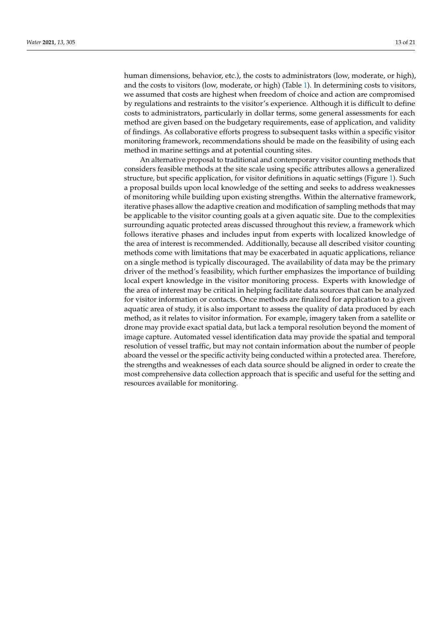human dimensions, behavior, etc.), the costs to administrators (low, moderate, or high), and the costs to visitors (low, moderate, or high) (Table [1\)](#page-15-0). In determining costs to visitors, we assumed that costs are highest when freedom of choice and action are compromised by regulations and restraints to the visitor's experience. Although it is difficult to define costs to administrators, particularly in dollar terms, some general assessments for each method are given based on the budgetary requirements, ease of application, and validity of findings. As collaborative efforts progress to subsequent tasks within a specific visitor monitoring framework, recommendations should be made on the feasibility of using each method in marine settings and at potential counting sites.

An alternative proposal to traditional and contemporary visitor counting methods that considers feasible methods at the site scale using specific attributes allows a generalized structure, but specific application, for visitor definitions in aquatic settings (Figure [1\)](#page-13-0). Such a proposal builds upon local knowledge of the setting and seeks to address weaknesses of monitoring while building upon existing strengths. Within the alternative framework, iterative phases allow the adaptive creation and modification of sampling methods that may be applicable to the visitor counting goals at a given aquatic site. Due to the complexities surrounding aquatic protected areas discussed throughout this review, a framework which follows iterative phases and includes input from experts with localized knowledge of the area of interest is recommended. Additionally, because all described visitor counting methods come with limitations that may be exacerbated in aquatic applications, reliance on a single method is typically discouraged. The availability of data may be the primary driver of the method's feasibility, which further emphasizes the importance of building local expert knowledge in the visitor monitoring process. Experts with knowledge of the area of interest may be critical in helping facilitate data sources that can be analyzed for visitor information or contacts. Once methods are finalized for application to a given aquatic area of study, it is also important to assess the quality of data produced by each method, as it relates to visitor information. For example, imagery taken from a satellite or drone may provide exact spatial data, but lack a temporal resolution beyond the moment of image capture. Automated vessel identification data may provide the spatial and temporal resolution of vessel traffic, but may not contain information about the number of people aboard the vessel or the specific activity being conducted within a protected area. Therefore, the strengths and weaknesses of each data source should be aligned in order to create the most comprehensive data collection approach that is specific and useful for the setting and resources available for monitoring.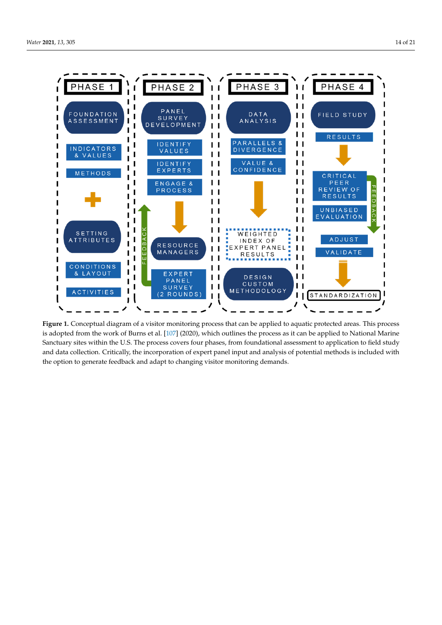<span id="page-13-0"></span>

Figure 1. Conceptual diagram of a visitor monitoring process that can be applied to aquatic protected areas. This process is adopted from the work of Burns et al. [\[107\]](#page-20-16) (2020), which outlines the process as it can be applied to National Marine  $S$  or turns sites within the U.S. The process covers four phases, from foundational assessment to application to field study Sanctuary sites within the U.S. The process covers four phases, from foundational assessment to application to field study and data collection. Critically, the incorporation of expert panel input and analysis of potential methods is included with the option to generate feedback and adapt to changing visitor monitoring demands.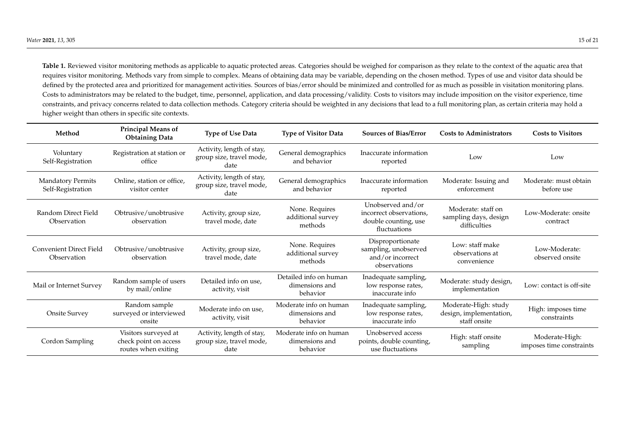Table 1. Reviewed visitor monitoring methods as applicable to aquatic protected areas. Categories should be weighed for comparison as they relate to the context of the aquatic area that requires visitor monitoring. Methods vary from simple to complex. Means of obtaining data may be variable, depending on the chosen method. Types of use and visitor data should be defined by the protected area and prioritized for management activities. Sources of bias/error should be minimized and controlled for as much as possible in visitation monitoring plans. Costs to administrators may be related to the budget, time, personnel, application, and data processing/validity. Costs to visitors may include imposition on the visitor experience, time constraints, and privacy concerns related to data collection methods. Category criteria should be weighted in any decisions that lead to a full monitoring plan, as certain criteria may hold a higher weight than others in specific site contexts.

| Method                                        | Principal Means of<br><b>Obtaining Data</b>                          | <b>Type of Use Data</b>                                       | <b>Type of Visitor Data</b>                          | <b>Sources of Bias/Error</b>                                                         | <b>Costs to Administrators</b>                                  | <b>Costs to Visitors</b>                   |
|-----------------------------------------------|----------------------------------------------------------------------|---------------------------------------------------------------|------------------------------------------------------|--------------------------------------------------------------------------------------|-----------------------------------------------------------------|--------------------------------------------|
| Voluntary<br>Self-Registration                | Registration at station or<br>office                                 | Activity, length of stay,<br>group size, travel mode,<br>date | General demographics<br>and behavior                 | Inaccurate information<br>reported                                                   | Low                                                             | Low                                        |
| <b>Mandatory Permits</b><br>Self-Registration | Online, station or office,<br>visitor center                         | Activity, length of stay,<br>group size, travel mode,<br>date | General demographics<br>and behavior                 | Inaccurate information<br>reported                                                   | Moderate: Issuing and<br>enforcement                            | Moderate: must obtain<br>before use        |
| Random Direct Field<br>Observation            | Obtrusive/unobtrusive<br>observation                                 | Activity, group size,<br>travel mode, date                    | None. Requires<br>additional survey<br>methods       | Unobserved and/or<br>incorrect observations,<br>double counting, use<br>fluctuations | Moderate: staff on<br>sampling days, design<br>difficulties     | Low-Moderate: onsite<br>contract           |
| <b>Convenient Direct Field</b><br>Observation | Obtrusive/unobtrusive<br>observation                                 | Activity, group size,<br>travel mode, date                    | None. Requires<br>additional survey<br>methods       | Disproportionate<br>sampling, unobserved<br>and/or incorrect<br>observations         | Low: staff make<br>observations at<br>convenience               | Low-Moderate:<br>observed onsite           |
| Mail or Internet Survey                       | Random sample of users<br>by mail/online                             | Detailed info on use,<br>activity, visit                      | Detailed info on human<br>dimensions and<br>behavior | Inadequate sampling,<br>low response rates,<br>inaccurate info                       | Moderate: study design,<br>implementation                       | Low: contact is off-site                   |
| Onsite Survey                                 | Random sample<br>surveyed or interviewed<br>onsite                   | Moderate info on use,<br>activity, visit                      | Moderate info on human<br>dimensions and<br>behavior | Inadequate sampling,<br>low response rates,<br>inaccurate info                       | Moderate-High: study<br>design, implementation,<br>staff onsite | High: imposes time<br>constraints          |
| Cordon Sampling                               | Visitors surveyed at<br>check point on access<br>routes when exiting | Activity, length of stay,<br>group size, travel mode,<br>date | Moderate info on human<br>dimensions and<br>behavior | Unobserved access<br>points, double counting,<br>use fluctuations                    | High: staff onsite<br>sampling                                  | Moderate-High:<br>imposes time constraints |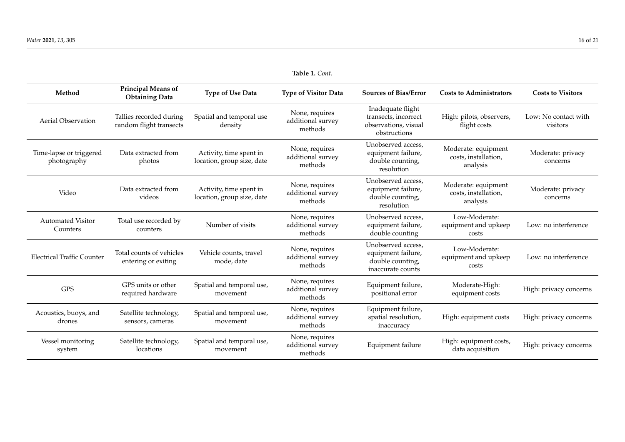<span id="page-15-0"></span>

| Method                                 | Principal Means of<br><b>Obtaining Data</b>        | <b>Type of Use Data</b>                               | <b>Type of Visitor Data</b>                    | <b>Sources of Bias/Error</b>                                                      | <b>Costs to Administrators</b>                          | <b>Costs to Visitors</b>         |
|----------------------------------------|----------------------------------------------------|-------------------------------------------------------|------------------------------------------------|-----------------------------------------------------------------------------------|---------------------------------------------------------|----------------------------------|
| <b>Aerial Observation</b>              | Tallies recorded during<br>random flight transects | Spatial and temporal use<br>density                   | None, requires<br>additional survey<br>methods | Inadequate flight<br>transects, incorrect<br>observations, visual<br>obstructions | High: pilots, observers,<br>flight costs                | Low: No contact with<br>visitors |
| Time-lapse or triggered<br>photography | Data extracted from<br>photos                      | Activity, time spent in<br>location, group size, date | None, requires<br>additional survey<br>methods | Unobserved access,<br>equipment failure,<br>double counting,<br>resolution        | Moderate: equipment<br>costs, installation,<br>analysis | Moderate: privacy<br>concerns    |
| Video                                  | Data extracted from<br>videos                      | Activity, time spent in<br>location, group size, date | None, requires<br>additional survey<br>methods | Unobserved access,<br>equipment failure,<br>double counting,<br>resolution        | Moderate: equipment<br>costs, installation,<br>analysis | Moderate: privacy<br>concerns    |
| <b>Automated Visitor</b><br>Counters   | Total use recorded by<br>counters                  | Number of visits                                      | None, requires<br>additional survey<br>methods | Unobserved access,<br>equipment failure,<br>double counting                       | Low-Moderate:<br>equipment and upkeep<br>costs          | Low: no interference             |
| <b>Electrical Traffic Counter</b>      | Total counts of vehicles<br>entering or exiting    | Vehicle counts, travel<br>mode, date                  | None, requires<br>additional survey<br>methods | Unobserved access,<br>equipment failure,<br>double counting,<br>inaccurate counts | Low-Moderate:<br>equipment and upkeep<br>costs          | Low: no interference             |
| <b>GPS</b>                             | GPS units or other<br>required hardware            | Spatial and temporal use,<br>movement                 | None, requires<br>additional survey<br>methods | Equipment failure,<br>positional error                                            | Moderate-High:<br>equipment costs                       | High: privacy concerns           |
| Acoustics, buoys, and<br>drones        | Satellite technology,<br>sensors, cameras          | Spatial and temporal use,<br>movement                 | None, requires<br>additional survey<br>methods | Equipment failure,<br>spatial resolution,<br>inaccuracy                           | High: equipment costs                                   | High: privacy concerns           |
| Vessel monitoring<br>system            | Satellite technology,<br>locations                 | Spatial and temporal use,<br>movement                 | None, requires<br>additional survey<br>methods | Equipment failure                                                                 | High: equipment costs,<br>data acquisition              | High: privacy concerns           |

**Table 1.** *Cont.*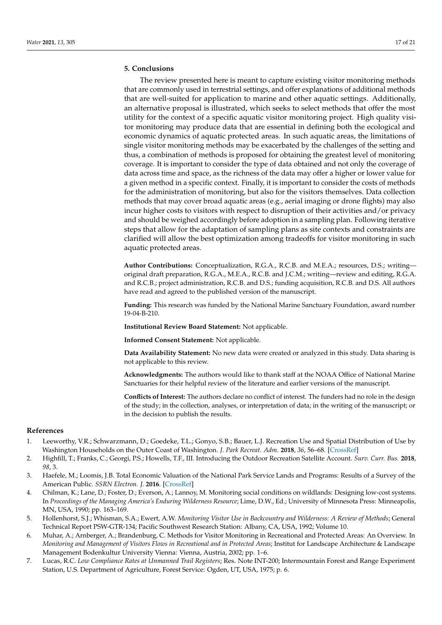# **5. Conclusions**

The review presented here is meant to capture existing visitor monitoring methods that are commonly used in terrestrial settings, and offer explanations of additional methods that are well-suited for application to marine and other aquatic settings. Additionally, an alternative proposal is illustrated, which seeks to select methods that offer the most utility for the context of a specific aquatic visitor monitoring project. High quality visitor monitoring may produce data that are essential in defining both the ecological and economic dynamics of aquatic protected areas. In such aquatic areas, the limitations of single visitor monitoring methods may be exacerbated by the challenges of the setting and thus, a combination of methods is proposed for obtaining the greatest level of monitoring coverage. It is important to consider the type of data obtained and not only the coverage of data across time and space, as the richness of the data may offer a higher or lower value for a given method in a specific context. Finally, it is important to consider the costs of methods for the administration of monitoring, but also for the visitors themselves. Data collection methods that may cover broad aquatic areas (e.g., aerial imaging or drone flights) may also incur higher costs to visitors with respect to disruption of their activities and/or privacy and should be weighed accordingly before adoption in a sampling plan. Following iterative steps that allow for the adaptation of sampling plans as site contexts and constraints are clarified will allow the best optimization among tradeoffs for visitor monitoring in such aquatic protected areas.

**Author Contributions:** Conceptualization, R.G.A., R.C.B. and M.E.A.; resources, D.S.; writing original draft preparation, R.G.A., M.E.A., R.C.B. and J.C.M.; writing—review and editing, R.G.A. and R.C.B.; project administration, R.C.B. and D.S.; funding acquisition, R.C.B. and D.S. All authors have read and agreed to the published version of the manuscript.

**Funding:** This research was funded by the National Marine Sanctuary Foundation, award number 19-04-B-210.

**Institutional Review Board Statement:** Not applicable.

**Informed Consent Statement:** Not applicable.

**Data Availability Statement:** No new data were created or analyzed in this study. Data sharing is not applicable to this review.

**Acknowledgments:** The authors would like to thank staff at the NOAA Office of National Marine Sanctuaries for their helpful review of the literature and earlier versions of the manuscript.

**Conflicts of Interest:** The authors declare no conflict of interest. The funders had no role in the design of the study; in the collection, analyses, or interpretation of data; in the writing of the manuscript; or in the decision to publish the results.

## **References**

- <span id="page-16-0"></span>1. Leeworthy, V.R.; Schwarzmann, D.; Goedeke, T.L.; Gonyo, S.B.; Bauer, L.J. Recreation Use and Spatial Distribution of Use by Washington Households on the Outer Coast of Washington. *J. Park Recreat. Adm.* **2018**, *36*, 56–68. [\[CrossRef\]](http://doi.org/10.18666/JPRA-2018-V36-I1-7915)
- <span id="page-16-1"></span>2. Highfill, T.; Franks, C.; Georgi, P.S.; Howells, T.F., III. Introducing the Outdoor Recreation Satellite Account. *Surv. Curr. Bus.* **2018**, *98*, 3.
- <span id="page-16-2"></span>3. Haefele, M.; Loomis, J.B. Total Economic Valuation of the National Park Service Lands and Programs: Results of a Survey of the American Public. *SSRN Electron. J.* **2016**. [\[CrossRef\]](http://doi.org/10.2139/ssrn.2821124)
- <span id="page-16-3"></span>4. Chilman, K.; Lane, D.; Foster, D.; Everson, A.; Lannoy, M. Monitoring social conditions on wildlands: Designing low-cost systems. In *Proceedings of the Managing America's Enduring Wilderness Resource*; Lime, D.W., Ed.; University of Minnesota Press: Minneapolis, MN, USA, 1990; pp. 163–169.
- <span id="page-16-4"></span>5. Hollenhorst, S.J.; Whisman, S.A.; Ewert, A.W. *Monitoring Visitor Use in Backcountry and Wilderness: A Review of Methods*; General Technical Report PSW-GTR-134; Pacific Southwest Research Station: Albany, CA, USA, 1992; Volume 10.
- <span id="page-16-5"></span>6. Muhar, A.; Arnberger, A.; Brandenburg, C. Methods for Visitor Monitoring in Recreational and Protected Areas: An Overview. In *Monitoring and Management of Visitors Flows in Recreational and in Protected Areas*; Institut for Landscape Architecture & Landscape Management Bodenkultur University Vienna: Vienna, Austria, 2002; pp. 1–6.
- <span id="page-16-6"></span>7. Lucas, R.C. *Low Compliance Rates at Unmanned Trail Registers*; Res. Note INT-200; Intermountain Forest and Range Experiment Station, U.S. Department of Agriculture, Forest Service: Ogden, UT, USA, 1975; p. 6.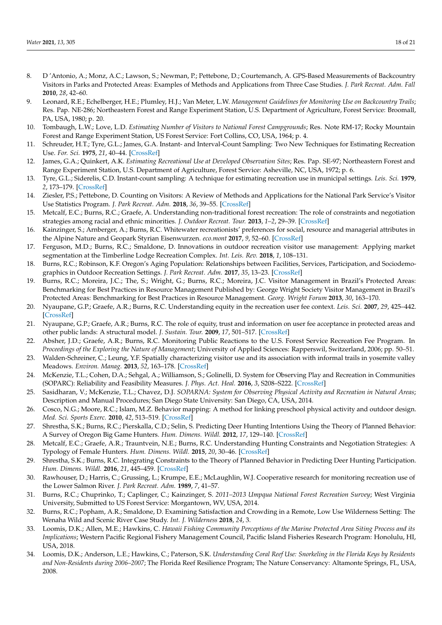- <span id="page-17-0"></span>8. D 'Antonio, A.; Monz, A.C.; Lawson, S.; Newman, P.; Pettebone, D.; Courtemanch, A. GPS-Based Measurements of Backcountry Visitors in Parks and Protected Areas: Examples of Methods and Applications from Three Case Studies. *J. Park Recreat. Adm. Fall* **2010**, *28*, 42–60.
- <span id="page-17-1"></span>9. Leonard, R.E.; Echelberger, H.E.; Plumley, H.J.; Van Meter, L.W. *Management Guidelines for Monitoring Use on Backcountry Trails*; Res. Pap. NE-286; Northeastern Forest and Range Experiment Station, U.S. Department of Agriculture, Forest Service: Broomall, PA, USA, 1980; p. 20.
- <span id="page-17-2"></span>10. Tombaugh, L.W.; Love, L.D. *Estimating Number of Visitors to National Forest Campgrounds*; Res. Note RM-17; Rocky Mountain Forest and Range Experiment Station, US Forest Service: Fort Collins, CO, USA, 1964; p. 4.
- <span id="page-17-3"></span>11. Schreuder, H.T.; Tyre, G.L.; James, G.A. Instant- and Interval-Count Sampling: Two New Techniques for Estimating Recreation Use. *For. Sci.* **1975**, *21*, 40–44. [\[CrossRef\]](http://doi.org/10.1093/forestscience/21.1.40)
- <span id="page-17-4"></span>12. James, G.A.; Quinkert, A.K. *Estimating Recreational Use at Developed Observation Sites*; Res. Pap. SE-97; Northeastern Forest and Range Experiment Station, U.S. Department of Agriculture, Forest Service: Asheville, NC, USA, 1972; p. 6.
- <span id="page-17-5"></span>13. Tyre, G.L.; Siderelis, C.D. Instant-count sampling: A technique for estimating recreation use in municipal settings. *Leis. Sci.* **1979**, *2*, 173–179. [\[CrossRef\]](http://doi.org/10.1080/01490407909512913)
- <span id="page-17-6"></span>14. Ziesler, P.S.; Pettebone, D. Counting on Visitors: A Review of Methods and Applications for the National Park Service's Visitor Use Statistics Program. *J. Park Recreat. Adm.* **2018**, *36*, 39–55. [\[CrossRef\]](http://doi.org/10.18666/JPRA-2018-V36-I1-8104)
- <span id="page-17-7"></span>15. Metcalf, E.C.; Burns, R.C.; Graefe, A. Understanding non-traditional forest recreation: The role of constraints and negotiation strategies among racial and ethnic minorities. *J. Outdoor Recreat. Tour.* **2013**, *1–2*, 29–39. [\[CrossRef\]](http://doi.org/10.1016/j.jort.2013.04.003)
- 16. Kainzinger, S.; Arnberger, A.; Burns, R.C. Whitewater recreationists' preferences for social, resource and managerial attributes in the Alpine Nature and Geopark Styrian Eisenwurzen. *eco.mont* **2017**, *9*, 52–60. [\[CrossRef\]](http://doi.org/10.1553/eco.mont-9-2s52)
- <span id="page-17-8"></span>17. Ferguson, M.D.; Burns, R.C.; Smaldone, D. Innovations in outdoor recreation visitor use management: Applying market segmentation at the Timberline Lodge Recreation Complex. *Int. Leis. Rev.* **2018**, *1*, 108–131.
- <span id="page-17-9"></span>18. Burns, R.C.; Robinson, K.F. Oregon's Aging Population: Relationships between Facilities, Services, Participation, and Sociodemographics in Outdoor Recreation Settings. *J. Park Recreat. Adm.* **2017**, *35*, 13–23. [\[CrossRef\]](http://doi.org/10.18666/JPRA-2017-V35-I4-7569)
- <span id="page-17-10"></span>19. Burns, R.C.; Moreira, J.C.; The, S.; Wright, G.; Burns, R.C.; Moreira, J.C. Visitor Management in Brazil's Protected Areas: Benchmarking for Best Practices in Resource Management Published by: George Wright Society Visitor Management in Brazil's Protected Areas: Benchmarking for Best Practices in Resource Management. *Georg. Wright Forum* **2013**, *30*, 163–170.
- <span id="page-17-11"></span>20. Nyaupane, G.P.; Graefe, A.R.; Burns, R.C. Understanding equity in the recreation user fee context. *Leis. Sci.* **2007**, *29*, 425–442. [\[CrossRef\]](http://doi.org/10.1080/01490400701394899)
- 21. Nyaupane, G.P.; Graefe, A.R.; Burns, R.C. The role of equity, trust and information on user fee acceptance in protected areas and other public lands: A structural model. *J. Sustain. Tour.* **2009**, *17*, 501–517. [\[CrossRef\]](http://doi.org/10.1080/09669580802651699)
- <span id="page-17-12"></span>22. Absher, J.D.; Graefe, A.R.; Burns, R.C. Monitoring Public Reactions to the U.S. Forest Service Recreation Fee Program. In *Proceedings of the Exploring the Nature of Management*; University of Applied Sciences: Rapperswil, Switzerland, 2006; pp. 50–51.
- <span id="page-17-13"></span>23. Walden-Schreiner, C.; Leung, Y.F. Spatially characterizing visitor use and its association with informal trails in yosemite valley Meadows. *Environ. Manag.* **2013**, *52*, 163–178. [\[CrossRef\]](http://doi.org/10.1007/s00267-013-0066-0)
- <span id="page-17-14"></span>24. McKenzie, T.L.; Cohen, D.A.; Sehgal, A.; Williamson, S.; Golinelli, D. System for Observing Play and Recreation in Communities (SOPARC): Reliability and Feasibility Measures. *J. Phys. Act. Heal.* **2016**, *3*, S208–S222. [\[CrossRef\]](http://doi.org/10.1123/jpah.3.s1.s208)
- <span id="page-17-15"></span>25. Sasidharan, V.; McKenzie, T.L.; Chavez, D.J. *SOPARNA: System for Observing Physical Activity and Recreation in Natural Areas*; Description and Manual Procedures; San Diego State University: San Diego, CA, USA, 2014.
- <span id="page-17-16"></span>26. Cosco, N.G.; Moore, R.C.; Islam, M.Z. Behavior mapping: A method for linking preschool physical activity and outdoor design. *Med. Sci. Sports Exerc.* **2010**, *42*, 513–519. [\[CrossRef\]](http://doi.org/10.1249/MSS.0b013e3181cea27a)
- <span id="page-17-17"></span>27. Shrestha, S.K.; Burns, R.C.; Pierskalla, C.D.; Selin, S. Predicting Deer Hunting Intentions Using the Theory of Planned Behavior: A Survey of Oregon Big Game Hunters. *Hum. Dimens. Wildl.* **2012**, *17*, 129–140. [\[CrossRef\]](http://doi.org/10.1080/10871209.2012.649885)
- 28. Metcalf, E.C.; Graefe, A.R.; Trauntvein, N.E.; Burns, R.C. Understanding Hunting Constraints and Negotiation Strategies: A Typology of Female Hunters. *Hum. Dimens. Wildl.* **2015**, *20*, 30–46. [\[CrossRef\]](http://doi.org/10.1080/10871209.2015.957366)
- <span id="page-17-18"></span>29. Shrestha, S.K.; Burns, R.C. Integrating Constraints to the Theory of Planned Behavior in Predicting Deer Hunting Participation. *Hum. Dimens. Wildl.* **2016**, *21*, 445–459. [\[CrossRef\]](http://doi.org/10.1080/10871209.2016.1187779)
- <span id="page-17-19"></span>30. Rawhouser, D.; Harris, C.; Grussing, L.; Krumpe, E.E.; McLaughlin, W.J. Cooperative research for monitoring recreation use of the Lower Salmon River. *J. Park Recreat. Adm.* **1989**, *7*, 41–57.
- <span id="page-17-20"></span>31. Burns, R.C.; Chuprinko, T.; Caplinger, C.; Kainzinger, S. *2011–2013 Umpqua National Forest Recreation Survey*; West Virginia University, Submitted to US Forest Service: Morgantown, WV, USA, 2014.
- 32. Burns, R.C.; Popham, A.R.; Smaldone, D. Examining Satisfaction and Crowding in a Remote, Low Use Wilderness Setting: The Wenaha Wild and Scenic River Case Study. *Int. J. Wilderness* **2018**, *24*, 3.
- <span id="page-17-21"></span>33. Loomis, D.K.; Allen, M.E.; Hawkins, C. *Hawaii Fishing Community Perceptions of the Marine Protected Area Siting Process and its Implications*; Western Pacific Regional Fishery Management Council, Pacific Island Fisheries Research Program: Honolulu, HI, USA, 2018.
- <span id="page-17-22"></span>34. Loomis, D.K.; Anderson, L.E.; Hawkins, C.; Paterson, S.K. *Understanding Coral Reef Use: Snorkeling in the Florida Keys by Residents and Non-Residents during 2006–2007*; The Florida Reef Resilience Program; The Nature Conservancy: Altamonte Springs, FL, USA, 2008.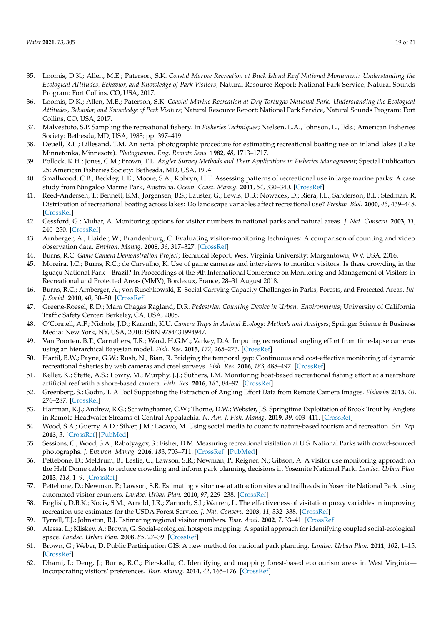- <span id="page-18-0"></span>35. Loomis, D.K.; Allen, M.E.; Paterson, S.K. *Coastal Marine Recreation at Buck Island Reef National Monument: Understanding the Ecological Attitudes, Behavior, and Knowledge of Park Visitors*; Natural Resource Report; National Park Service, Natural Sounds Program: Fort Collins, CO, USA, 2017.
- <span id="page-18-1"></span>36. Loomis, D.K.; Allen, M.E.; Paterson, S.K. *Coastal Marine Recreation at Dry Tortugas National Park: Understanding the Ecological Attitudes, Behavior, and Knowledge of Park Visitors*; Natural Resource Report; National Park Service, Natural Sounds Program: Fort Collins, CO, USA, 2017.
- <span id="page-18-2"></span>37. Malvestuto, S.P. Sampling the recreational fishery. In *Fisheries Techniques*; Nielsen, L.A., Johnson, L., Eds.; American Fisheries Society: Bethesda, MD, USA, 1983; pp. 397–419.
- <span id="page-18-3"></span>38. Deuell, R.L.; Lillesand, T.M. An aerial photographic procedure for estimating recreational boating use on inland lakes (Lake Minnetonka, Minnesota). *Photogramm. Eng. Remote Sens.* **1982**, *48*, 1713–1717.
- <span id="page-18-4"></span>39. Pollock, K.H.; Jones, C.M.; Brown, T.L. *Angler Survey Methods and Their Applications in Fisheries Management*; Special Publication 25; American Fisheries Society: Bethesda, MD, USA, 1994.
- <span id="page-18-5"></span>40. Smallwood, C.B.; Beckley, L.E.; Moore, S.A.; Kobryn, H.T. Assessing patterns of recreational use in large marine parks: A case study from Ningaloo Marine Park, Australia. *Ocean. Coast. Manag.* **2011**, *54*, 330–340. [\[CrossRef\]](http://doi.org/10.1016/j.ocecoaman.2010.11.007)
- <span id="page-18-6"></span>41. Reed-Andersen, T.; Bennett, E.M.; Jorgensen, B.S.; Lauster, G.; Lewis, D.B.; Nowacek, D.; Riera, J.L.; Sanderson, B.L.; Stedman, R. Distribution of recreational boating across lakes: Do landscape variables affect recreational use? *Freshw. Biol.* **2000**, *43*, 439–448. [\[CrossRef\]](http://doi.org/10.1046/j.1365-2427.2000.00511.x)
- <span id="page-18-7"></span>42. Cessford, G.; Muhar, A. Monitoring options for visitor numbers in national parks and natural areas. *J. Nat. Conserv.* **2003**, *11*, 240–250. [\[CrossRef\]](http://doi.org/10.1078/1617-1381-00055)
- <span id="page-18-8"></span>43. Arnberger, A.; Haider, W.; Brandenburg, C. Evaluating visitor-monitoring techniques: A comparison of counting and video observation data. *Environ. Manag.* **2005**, *36*, 317–327. [\[CrossRef\]](http://doi.org/10.1007/s00267-004-8201-6)
- <span id="page-18-9"></span>44. Burns, R.C. *Game Camera Demonstration Project*; Technical Report; West Virginia University: Morgantown, WV, USA, 2016.
- <span id="page-18-10"></span>45. Moreira, J.C.; Burns, R.C.; de Carvalho, K. Use of game cameras and interviews to monitor visitors: Is there crowding in the Iguaçu National Park—Brazil? In Proceedings of the 9th International Conference on Monitoring and Management of Visitors in Recreational and Protected Areas (MMV), Bordeaux, France, 28–31 August 2018.
- <span id="page-18-11"></span>46. Burns, R.C.; Arnberger, A.; von Ruschkowski, E. Social Carrying Capacity Challenges in Parks, Forests, and Protected Areas. *Int. J. Sociol.* **2010**, *40*, 30–50. [\[CrossRef\]](http://doi.org/10.2753/IJS0020-7659400302)
- <span id="page-18-12"></span>47. Greene-Roesel, R.D.; Mara Chagas Ragland, D.R. *Pedestrian Counting Device in Urban. Environments*; University of California Traffic Safety Center: Berkeley, CA, USA, 2008.
- <span id="page-18-13"></span>48. O'Connell, A.F.; Nichols, J.D.; Karanth, K.U. *Camera Traps in Animal Ecology: Methods and Analyses*; Springer Science & Business Media: New York, NY, USA, 2010; ISBN 9784431994947.
- <span id="page-18-14"></span>49. Van Poorten, B.T.; Carruthers, T.R.; Ward, H.G.M.; Varkey, D.A. Imputing recreational angling effort from time-lapse cameras using an hierarchical Bayesian model. *Fish. Res.* **2015**, *172*, 265–273. [\[CrossRef\]](http://doi.org/10.1016/j.fishres.2015.07.032)
- 50. Hartil, B.W.; Payne, G.W.; Rush, N.; Bian, R. Bridging the temporal gap: Continuous and cost-effective monitoring of dynamic recreational fisheries by web cameras and creel surveys. *Fish. Res.* **2016**, *183*, 488–497. [\[CrossRef\]](http://doi.org/10.1016/j.fishres.2016.06.002)
- <span id="page-18-15"></span>51. Keller, K.; Steffe, A.S.; Lowry, M.; Murphy, J.J.; Suthers, I.M. Monitoring boat-based recreational fishing effort at a nearshore artificial reef with a shore-based camera. *Fish. Res.* **2016**, *181*, 84–92. [\[CrossRef\]](http://doi.org/10.1016/j.fishres.2016.03.025)
- <span id="page-18-16"></span>52. Greenberg, S.; Godin, T. A Tool Supporting the Extraction of Angling Effort Data from Remote Camera Images. *Fisheries* **2015**, *40*, 276–287. [\[CrossRef\]](http://doi.org/10.1080/03632415.2015.1038380)
- <span id="page-18-17"></span>53. Hartman, K.J.; Andrew, R.G.; Schwinghamer, C.W.; Thorne, D.W.; Webster, J.S. Springtime Exploitation of Brook Trout by Anglers in Remote Headwater Streams of Central Appalachia. *N. Am. J. Fish. Manag.* **2019**, *39*, 403–411. [\[CrossRef\]](http://doi.org/10.1002/nafm.10280)
- <span id="page-18-18"></span>54. Wood, S.A.; Guerry, A.D.; Silver, J.M.; Lacayo, M. Using social media to quantify nature-based tourism and recreation. *Sci. Rep.* **2013**, *3*. [\[CrossRef\]](http://doi.org/10.1038/srep02976) [\[PubMed\]](http://www.ncbi.nlm.nih.gov/pubmed/24131963)
- <span id="page-18-19"></span>55. Sessions, C.; Wood, S.A.; Rabotyagov, S.; Fisher, D.M. Measuring recreational visitation at U.S. National Parks with crowd-sourced photographs. *J. Environ. Manag.* **2016**, *183*, 703–711. [\[CrossRef\]](http://doi.org/10.1016/j.jenvman.2016.09.018) [\[PubMed\]](http://www.ncbi.nlm.nih.gov/pubmed/27641652)
- <span id="page-18-20"></span>56. Pettebone, D.; Meldrum, B.; Leslie, C.; Lawson, S.R.; Newman, P.; Reigner, N.; Gibson, A. A visitor use monitoring approach on the Half Dome cables to reduce crowding and inform park planning decisions in Yosemite National Park. *Landsc. Urban Plan.* **2013**, *118*, 1–9. [\[CrossRef\]](http://doi.org/10.1016/j.landurbplan.2013.05.001)
- <span id="page-18-21"></span>57. Pettebone, D.; Newman, P.; Lawson, S.R. Estimating visitor use at attraction sites and trailheads in Yosemite National Park using automated visitor counters. *Landsc. Urban Plan.* **2010**, *97*, 229–238. [\[CrossRef\]](http://doi.org/10.1016/j.landurbplan.2010.06.006)
- <span id="page-18-22"></span>58. English, D.B.K.; Kocis, S.M.; Arnold, J.R.; Zarnoch, S.J.; Warren, L. The effectiveness of visitation proxy variables in improving recreation use estimates for the USDA Forest Service. *J. Nat. Conserv.* **2003**, *11*, 332–338. [\[CrossRef\]](http://doi.org/10.1078/1617-1381-00065)
- <span id="page-18-23"></span>59. Tyrrell, T.J.; Johnston, R.J. Estimating regional visitor numbers. *Tour. Anal.* **2002**, *7*, 33–41. [\[CrossRef\]](http://doi.org/10.3727/108354202108749934)
- <span id="page-18-24"></span>60. Alessa, L.; Kliskey, A.; Brown, G. Social-ecological hotspots mapping: A spatial approach for identifying coupled social-ecological space. *Landsc. Urban Plan.* **2008**, *85*, 27–39. [\[CrossRef\]](http://doi.org/10.1016/j.landurbplan.2007.09.007)
- 61. Brown, G.; Weber, D. Public Participation GIS: A new method for national park planning. *Landsc. Urban Plan.* **2011**, *102*, 1–15. [\[CrossRef\]](http://doi.org/10.1016/j.landurbplan.2011.03.003)
- <span id="page-18-25"></span>62. Dhami, I.; Deng, J.; Burns, R.C.; Pierskalla, C. Identifying and mapping forest-based ecotourism areas in West Virginia— Incorporating visitors' preferences. *Tour. Manag.* **2014**, *42*, 165–176. [\[CrossRef\]](http://doi.org/10.1016/j.tourman.2013.11.007)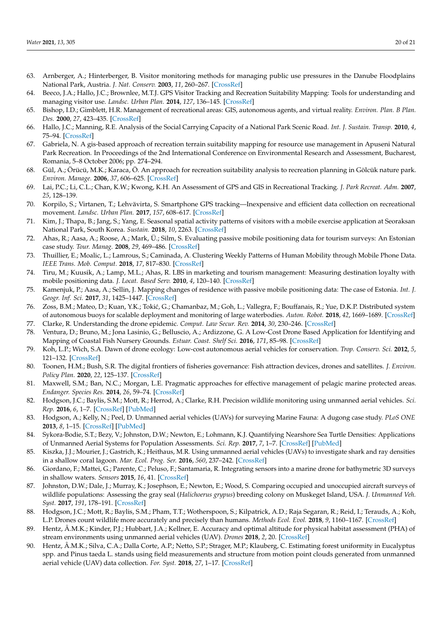- <span id="page-19-0"></span>63. Arnberger, A.; Hinterberger, B. Visitor monitoring methods for managing public use pressures in the Danube Floodplains National Park, Austria. *J. Nat. Conserv.* **2003**, *11*, 260–267. [\[CrossRef\]](http://doi.org/10.1078/1617-1381-00057)
- <span id="page-19-1"></span>64. Beeco, J.A.; Hallo, J.C.; Brownlee, M.T.J. GPS Visitor Tracking and Recreation Suitability Mapping: Tools for understanding and managing visitor use. *Landsc. Urban Plan.* **2014**, *127*, 136–145. [\[CrossRef\]](http://doi.org/10.1016/j.landurbplan.2014.04.002)
- <span id="page-19-2"></span>65. Bishop, I.D.; Gimblett, H.R. Management of recreational areas: GIS, autonomous agents, and virtual reality. *Environ. Plan. B Plan. Des.* **2000**, *27*, 423–435. [\[CrossRef\]](http://doi.org/10.1068/b2637)
- <span id="page-19-3"></span>66. Hallo, J.C.; Manning, R.E. Analysis of the Social Carrying Capacity of a National Park Scenic Road. *Int. J. Sustain. Transp.* **2010**, *4*, 75–94. [\[CrossRef\]](http://doi.org/10.1080/15568310802438940)
- <span id="page-19-4"></span>67. Gabriela, N. A gis-based approach of recreation terrain suitability mapping for resource use management in Apuseni Natural Park Recreation. In Proceedings of the 2nd International Conference on Environmental Research and Assessment, Bucharest, Romania, 5–8 October 2006; pp. 274–294.
- <span id="page-19-5"></span>68. Gül, A.; Örücü, M.K.; Karaca, Ö. An approach for recreation suitability analysis to recreation planning in Gölcük nature park. *Environ. Manage.* **2006**, *37*, 606–625. [\[CrossRef\]](http://doi.org/10.1007/s00267-004-0322-4)
- <span id="page-19-6"></span>69. Lai, P.C.; Li, C.L.; Chan, K.W.; Kwong, K.H. An Assessment of GPS and GIS in Recreational Tracking. *J. Park Recreat. Adm.* **2007**, *25*, 128–139.
- <span id="page-19-7"></span>70. Korpilo, S.; Virtanen, T.; Lehvävirta, S. Smartphone GPS tracking—Inexpensive and efficient data collection on recreational movement. *Landsc. Urban Plan.* **2017**, *157*, 608–617. [\[CrossRef\]](http://doi.org/10.1016/j.landurbplan.2016.08.005)
- <span id="page-19-8"></span>71. Kim, J.; Thapa, B.; Jang, S.; Yang, E. Seasonal spatial activity patterns of visitors with a mobile exercise application at Seoraksan National Park, South Korea. *Sustain.* **2018**, *10*, 2263. [\[CrossRef\]](http://doi.org/10.3390/su10072263)
- <span id="page-19-9"></span>72. Ahas, R.; Aasa, A.; Roose, A.; Mark, Ü.; Silm, S. Evaluating passive mobile positioning data for tourism surveys: An Estonian case study. *Tour. Manag.* **2008**, *29*, 469–486. [\[CrossRef\]](http://doi.org/10.1016/j.tourman.2007.05.014)
- <span id="page-19-10"></span>73. Thuillier, E.; Moalic, L.; Lamrous, S.; Caminada, A. Clustering Weekly Patterns of Human Mobility through Mobile Phone Data. *IEEE Trans. Mob. Comput.* **2018**, *17*, 817–830. [\[CrossRef\]](http://doi.org/10.1109/TMC.2017.2742953)
- <span id="page-19-11"></span>74. Tiru, M.; Kuusik, A.; Lamp, M.L.; Ahas, R. LBS in marketing and tourism management: Measuring destination loyalty with mobile positioning data. *J. Locat. Based Serv.* **2010**, *4*, 120–140. [\[CrossRef\]](http://doi.org/10.1080/17489725.2010.508752)
- <span id="page-19-12"></span>75. Kamenjuk, P.; Aasa, A.; Sellin, J. Mapping changes of residence with passive mobile positioning data: The case of Estonia. *Int. J. Geogr. Inf. Sci.* **2017**, *31*, 1425–1447. [\[CrossRef\]](http://doi.org/10.1080/13658816.2017.1295308)
- <span id="page-19-13"></span>76. Zoss, B.M.; Mateo, D.; Kuan, Y.K.; Tokić, G.; Chamanbaz, M.; Goh, L.; Vallegra, F.; Bouffanais, R.; Yue, D.K.P. Distributed system of autonomous buoys for scalable deployment and monitoring of large waterbodies. *Auton. Robot.* **2018**, *42*, 1669–1689. [\[CrossRef\]](http://doi.org/10.1007/s10514-018-9702-0)
- <span id="page-19-14"></span>77. Clarke, R. Understanding the drone epidemic. *Comput. Law Secur. Rev.* **2014**, *30*, 230–246. [\[CrossRef\]](http://doi.org/10.1016/j.clsr.2014.03.002)
- <span id="page-19-15"></span>78. Ventura, D.; Bruno, M.; Jona Lasinio, G.; Belluscio, A.; Ardizzone, G. A Low-Cost Drone Based Application for Identifying and Mapping of Coastal Fish Nursery Grounds. *Estuar. Coast. Shelf Sci.* **2016**, *171*, 85–98. [\[CrossRef\]](http://doi.org/10.1016/j.ecss.2016.01.030)
- <span id="page-19-16"></span>79. Koh, L.P.; Wich, S.A. Dawn of drone ecology: Low-cost autonomous aerial vehicles for conservation. *Trop. Conserv. Sci.* **2012**, *5*, 121–132. [\[CrossRef\]](http://doi.org/10.1177/194008291200500202)
- <span id="page-19-17"></span>80. Toonen, H.M.; Bush, S.R. The digital frontiers of fisheries governance: Fish attraction devices, drones and satellites. *J. Environ. Policy Plan.* **2020**, *22*, 125–137. [\[CrossRef\]](http://doi.org/10.1080/1523908X.2018.1461084)
- <span id="page-19-18"></span>81. Maxwell, S.M.; Ban, N.C.; Morgan, L.E. Pragmatic approaches for effective management of pelagic marine protected areas. *Endanger. Species Res.* **2014**, *26*, 59–74. [\[CrossRef\]](http://doi.org/10.3354/esr00617)
- <span id="page-19-19"></span>82. Hodgson, J.C.; Baylis, S.M.; Mott, R.; Herrod, A.; Clarke, R.H. Precision wildlife monitoring using unmanned aerial vehicles. *Sci. Rep.* **2016**, *6*, 1–7. [\[CrossRef\]](http://doi.org/10.1038/srep22574) [\[PubMed\]](http://www.ncbi.nlm.nih.gov/pubmed/26986721)
- <span id="page-19-20"></span>83. Hodgson, A.; Kelly, N.; Peel, D. Unmanned aerial vehicles (UAVs) for surveying Marine Fauna: A dugong case study. *PLoS ONE* **2013**, *8*, 1–15. [\[CrossRef\]](http://doi.org/10.1371/journal.pone.0079556) [\[PubMed\]](http://www.ncbi.nlm.nih.gov/pubmed/24223967)
- <span id="page-19-21"></span>84. Sykora-Bodie, S.T.; Bezy, V.; Johnston, D.W.; Newton, E.; Lohmann, K.J. Quantifying Nearshore Sea Turtle Densities: Applications of Unmanned Aerial Systems for Population Assessments. *Sci. Rep.* **2017**, *7*, 1–7. [\[CrossRef\]](http://doi.org/10.1038/s41598-017-17719-x) [\[PubMed\]](http://www.ncbi.nlm.nih.gov/pubmed/29255157)
- <span id="page-19-22"></span>85. Kiszka, J.J.; Mourier, J.; Gastrich, K.; Heithaus, M.R. Using unmanned aerial vehicles (UAVs) to investigate shark and ray densities in a shallow coral lagoon. *Mar. Ecol. Prog. Ser.* **2016**, *560*, 237–242. [\[CrossRef\]](http://doi.org/10.3354/meps11945)
- <span id="page-19-23"></span>86. Giordano, F.; Mattei, G.; Parente, C.; Peluso, F.; Santamaria, R. Integrating sensors into a marine drone for bathymetric 3D surveys in shallow waters. *Sensors* **2015**, *16*, 41. [\[CrossRef\]](http://doi.org/10.3390/s16010041)
- <span id="page-19-24"></span>87. Johnston, D.W.; Dale, J.; Murray, K.; Josephson, E.; Newton, E.; Wood, S. Comparing occupied and unoccupied aircraft surveys of wildlife populations: Assessing the gray seal (*Halichoerus grypus*) breeding colony on Muskeget Island, USA. *J. Unmanned Veh. Syst.* **2017**, *191*, 178–191. [\[CrossRef\]](http://doi.org/10.1139/juvs-2017-0012)
- <span id="page-19-25"></span>88. Hodgson, J.C.; Mott, R.; Baylis, S.M.; Pham, T.T.; Wotherspoon, S.; Kilpatrick, A.D.; Raja Segaran, R.; Reid, I.; Terauds, A.; Koh, L.P. Drones count wildlife more accurately and precisely than humans. *Methods Ecol. Evol.* **2018**, *9*, 1160–1167. [\[CrossRef\]](http://doi.org/10.1111/2041-210X.12974)
- <span id="page-19-26"></span>89. Hentz, Â.M.K.; Kinder, P.J.; Hubbart, J.A.; Kellner, E. Accuracy and optimal altitude for physical habitat assessment (PHA) of stream environments using unmanned aerial vehicles (UAV). *Drones* **2018**, *2*, 20. [\[CrossRef\]](http://doi.org/10.3390/drones2020020)
- <span id="page-19-27"></span>90. Hentz, Â.M.K.; Silva, C.A.; Dalla Corte, A.P.; Netto, S.P.; Strager, M.P.; Klauberg, C. Estimating forest uniformity in Eucalyptus spp. and Pinus taeda L. stands using field measurements and structure from motion point clouds generated from unmanned aerial vehicle (UAV) data collection. *For. Syst.* **2018**, *27*, 1–17. [\[CrossRef\]](http://doi.org/10.5424/fs/2018272-11713)